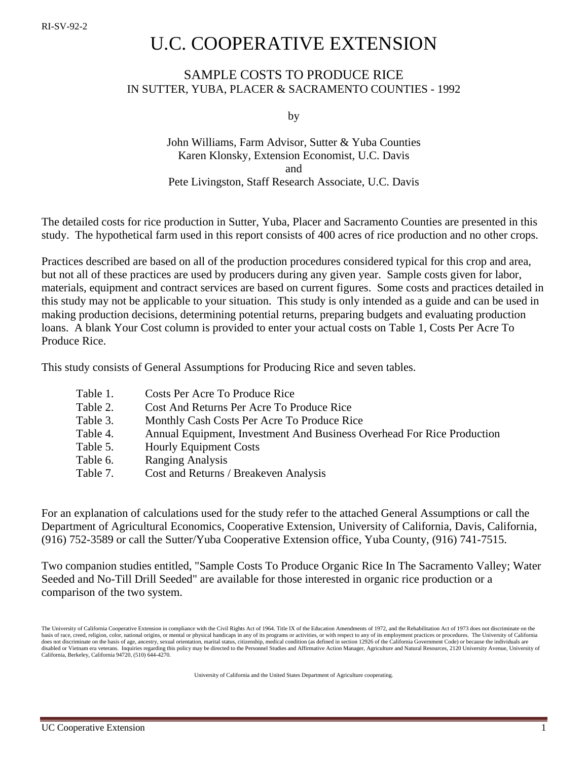# U.C. COOPERATIVE EXTENSION

## SAMPLE COSTS TO PRODUCE RICE IN SUTTER, YUBA, PLACER & SACRAMENTO COUNTIES - 1992

by

## John Williams, Farm Advisor, Sutter & Yuba Counties Karen Klonsky, Extension Economist, U.C. Davis and Pete Livingston, Staff Research Associate, U.C. Davis

The detailed costs for rice production in Sutter, Yuba, Placer and Sacramento Counties are presented in this study. The hypothetical farm used in this report consists of 400 acres of rice production and no other crops.

Practices described are based on all of the production procedures considered typical for this crop and area, but not all of these practices are used by producers during any given year. Sample costs given for labor, materials, equipment and contract services are based on current figures. Some costs and practices detailed in this study may not be applicable to your situation. This study is only intended as a guide and can be used in making production decisions, determining potential returns, preparing budgets and evaluating production loans. A blank Your Cost column is provided to enter your actual costs on Table 1, Costs Per Acre To Produce Rice.

This study consists of General Assumptions for Producing Rice and seven tables.

| Table 1. | Costs Per Acre To Produce Rice                                         |
|----------|------------------------------------------------------------------------|
| Table 2. | Cost And Returns Per Acre To Produce Rice                              |
| Table 3. | Monthly Cash Costs Per Acre To Produce Rice                            |
| Table 4. | Annual Equipment, Investment And Business Overhead For Rice Production |
| Table 5. | <b>Hourly Equipment Costs</b>                                          |
| Table 6. | <b>Ranging Analysis</b>                                                |
| Table 7. | Cost and Returns / Breakeven Analysis                                  |

For an explanation of calculations used for the study refer to the attached General Assumptions or call the Department of Agricultural Economics, Cooperative Extension, University of California, Davis, California, (916) 752-3589 or call the Sutter/Yuba Cooperative Extension office, Yuba County, (916) 741-7515.

Two companion studies entitled, "Sample Costs To Produce Organic Rice In The Sacramento Valley; Water Seeded and No-Till Drill Seeded" are available for those interested in organic rice production or a comparison of the two system.

University of California and the United States Department of Agriculture cooperating.

The University of California Cooperative Extension in compliance with the Civil Rights Act of 1964. Title IX of the Education Amendments of 1972, and the Rehabilitation Act of 1973 does not discriminate on the basis of race, creed, religion, color, national origins, or mental or physical handicaps in any of its programs or activities, or with respect to any of its employment practices or procedures. The University of California does not discriminate on the basis of age, ancestry, sexual orientation, marital status, citizenship, medical condition (as defined in section 12926 of the California Government Code) or because the individuals are disabled or Vietnam era veterans. Inquiries regarding this policy may be directed to the Personnel Studies and Affirmative Action Manager, Agriculture and Natural Resources, 2120 University Avenue, University of California, Berkeley, California 94720, (510) 644-4270.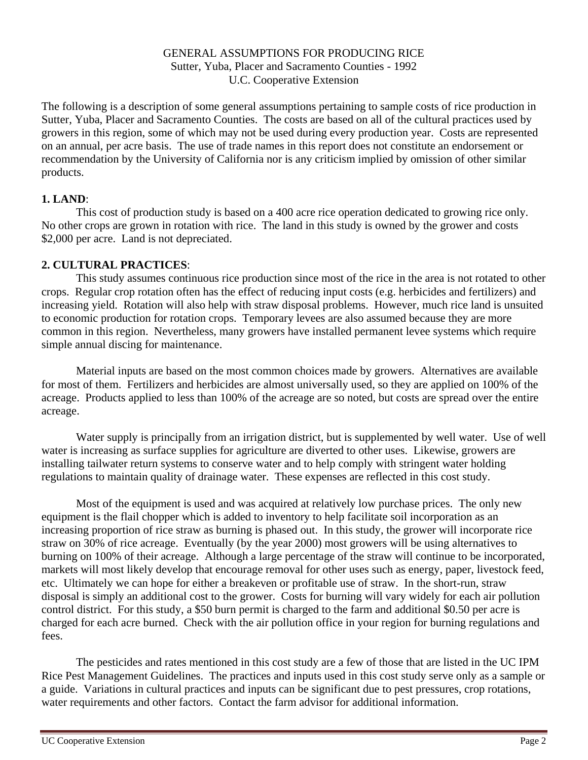## GENERAL ASSUMPTIONS FOR PRODUCING RICE Sutter, Yuba, Placer and Sacramento Counties - 1992 U.C. Cooperative Extension

The following is a description of some general assumptions pertaining to sample costs of rice production in Sutter, Yuba, Placer and Sacramento Counties. The costs are based on all of the cultural practices used by growers in this region, some of which may not be used during every production year. Costs are represented on an annual, per acre basis. The use of trade names in this report does not constitute an endorsement or recommendation by the University of California nor is any criticism implied by omission of other similar products.

## **1. LAND**:

This cost of production study is based on a 400 acre rice operation dedicated to growing rice only. No other crops are grown in rotation with rice. The land in this study is owned by the grower and costs \$2,000 per acre. Land is not depreciated.

## **2. CULTURAL PRACTICES**:

This study assumes continuous rice production since most of the rice in the area is not rotated to other crops. Regular crop rotation often has the effect of reducing input costs (e.g. herbicides and fertilizers) and increasing yield. Rotation will also help with straw disposal problems. However, much rice land is unsuited to economic production for rotation crops. Temporary levees are also assumed because they are more common in this region. Nevertheless, many growers have installed permanent levee systems which require simple annual discing for maintenance.

Material inputs are based on the most common choices made by growers. Alternatives are available for most of them. Fertilizers and herbicides are almost universally used, so they are applied on 100% of the acreage. Products applied to less than 100% of the acreage are so noted, but costs are spread over the entire acreage.

Water supply is principally from an irrigation district, but is supplemented by well water. Use of well water is increasing as surface supplies for agriculture are diverted to other uses. Likewise, growers are installing tailwater return systems to conserve water and to help comply with stringent water holding regulations to maintain quality of drainage water. These expenses are reflected in this cost study.

Most of the equipment is used and was acquired at relatively low purchase prices. The only new equipment is the flail chopper which is added to inventory to help facilitate soil incorporation as an increasing proportion of rice straw as burning is phased out. In this study, the grower will incorporate rice straw on 30% of rice acreage. Eventually (by the year 2000) most growers will be using alternatives to burning on 100% of their acreage. Although a large percentage of the straw will continue to be incorporated, markets will most likely develop that encourage removal for other uses such as energy, paper, livestock feed, etc. Ultimately we can hope for either a breakeven or profitable use of straw. In the short-run, straw disposal is simply an additional cost to the grower. Costs for burning will vary widely for each air pollution control district. For this study, a \$50 burn permit is charged to the farm and additional \$0.50 per acre is charged for each acre burned. Check with the air pollution office in your region for burning regulations and fees.

The pesticides and rates mentioned in this cost study are a few of those that are listed in the UC IPM Rice Pest Management Guidelines. The practices and inputs used in this cost study serve only as a sample or a guide. Variations in cultural practices and inputs can be significant due to pest pressures, crop rotations, water requirements and other factors. Contact the farm advisor for additional information.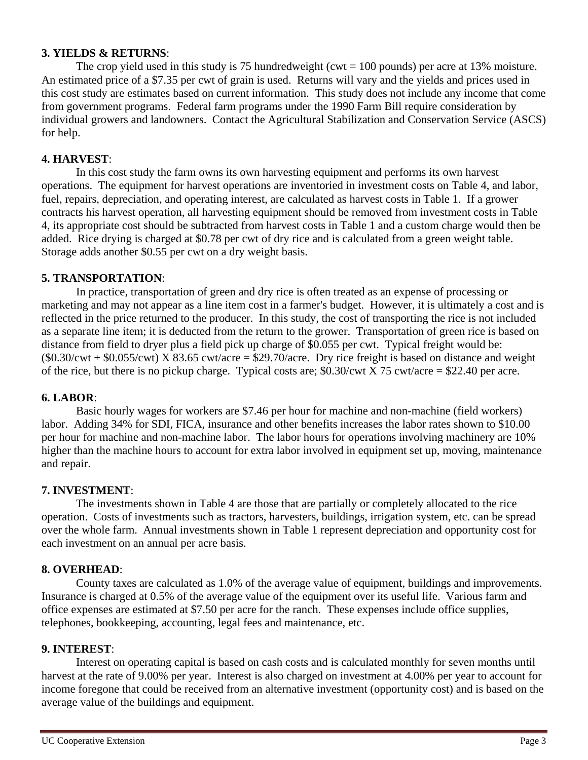### **3. YIELDS & RETURNS**:

The crop yield used in this study is 75 hundredweight ( $\text{cut} = 100$  pounds) per acre at 13% moisture. An estimated price of a \$7.35 per cwt of grain is used. Returns will vary and the yields and prices used in this cost study are estimates based on current information. This study does not include any income that come from government programs. Federal farm programs under the 1990 Farm Bill require consideration by individual growers and landowners. Contact the Agricultural Stabilization and Conservation Service (ASCS) for help.

## **4. HARVEST**:

In this cost study the farm owns its own harvesting equipment and performs its own harvest operations. The equipment for harvest operations are inventoried in investment costs on Table 4, and labor, fuel, repairs, depreciation, and operating interest, are calculated as harvest costs in Table 1. If a grower contracts his harvest operation, all harvesting equipment should be removed from investment costs in Table 4, its appropriate cost should be subtracted from harvest costs in Table 1 and a custom charge would then be added. Rice drying is charged at \$0.78 per cwt of dry rice and is calculated from a green weight table. Storage adds another \$0.55 per cwt on a dry weight basis.

#### **5. TRANSPORTATION**:

In practice, transportation of green and dry rice is often treated as an expense of processing or marketing and may not appear as a line item cost in a farmer's budget. However, it is ultimately a cost and is reflected in the price returned to the producer. In this study, the cost of transporting the rice is not included as a separate line item; it is deducted from the return to the grower. Transportation of green rice is based on distance from field to dryer plus a field pick up charge of \$0.055 per cwt. Typical freight would be:  $($0.30/cwt + $0.055/cwt)$  X 83.65 cwt/acre = \$29.70/acre. Dry rice freight is based on distance and weight of the rice, but there is no pickup charge. Typical costs are;  $$0.30/cwt \times 75$  cwt/acre = \$22.40 per acre.

#### **6. LABOR**:

Basic hourly wages for workers are \$7.46 per hour for machine and non-machine (field workers) labor. Adding 34% for SDI, FICA, insurance and other benefits increases the labor rates shown to \$10.00 per hour for machine and non-machine labor. The labor hours for operations involving machinery are 10% higher than the machine hours to account for extra labor involved in equipment set up, moving, maintenance and repair.

#### **7. INVESTMENT**:

The investments shown in Table 4 are those that are partially or completely allocated to the rice operation. Costs of investments such as tractors, harvesters, buildings, irrigation system, etc. can be spread over the whole farm. Annual investments shown in Table 1 represent depreciation and opportunity cost for each investment on an annual per acre basis.

## **8. OVERHEAD**:

County taxes are calculated as 1.0% of the average value of equipment, buildings and improvements. Insurance is charged at 0.5% of the average value of the equipment over its useful life. Various farm and office expenses are estimated at \$7.50 per acre for the ranch. These expenses include office supplies, telephones, bookkeeping, accounting, legal fees and maintenance, etc.

#### **9. INTEREST**:

Interest on operating capital is based on cash costs and is calculated monthly for seven months until harvest at the rate of 9.00% per year. Interest is also charged on investment at 4.00% per year to account for income foregone that could be received from an alternative investment (opportunity cost) and is based on the average value of the buildings and equipment.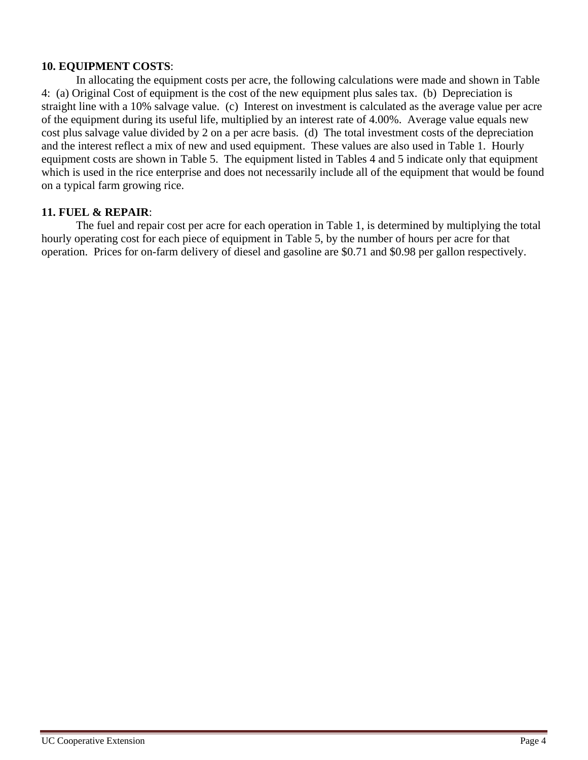## **10. EQUIPMENT COSTS**:

In allocating the equipment costs per acre, the following calculations were made and shown in Table 4: (a) Original Cost of equipment is the cost of the new equipment plus sales tax. (b) Depreciation is straight line with a 10% salvage value. (c) Interest on investment is calculated as the average value per acre of the equipment during its useful life, multiplied by an interest rate of 4.00%. Average value equals new cost plus salvage value divided by 2 on a per acre basis. (d) The total investment costs of the depreciation and the interest reflect a mix of new and used equipment. These values are also used in Table 1. Hourly equipment costs are shown in Table 5. The equipment listed in Tables 4 and 5 indicate only that equipment which is used in the rice enterprise and does not necessarily include all of the equipment that would be found on a typical farm growing rice.

## **11. FUEL & REPAIR**:

The fuel and repair cost per acre for each operation in Table 1, is determined by multiplying the total hourly operating cost for each piece of equipment in Table 5, by the number of hours per acre for that operation. Prices for on-farm delivery of diesel and gasoline are \$0.71 and \$0.98 per gallon respectively.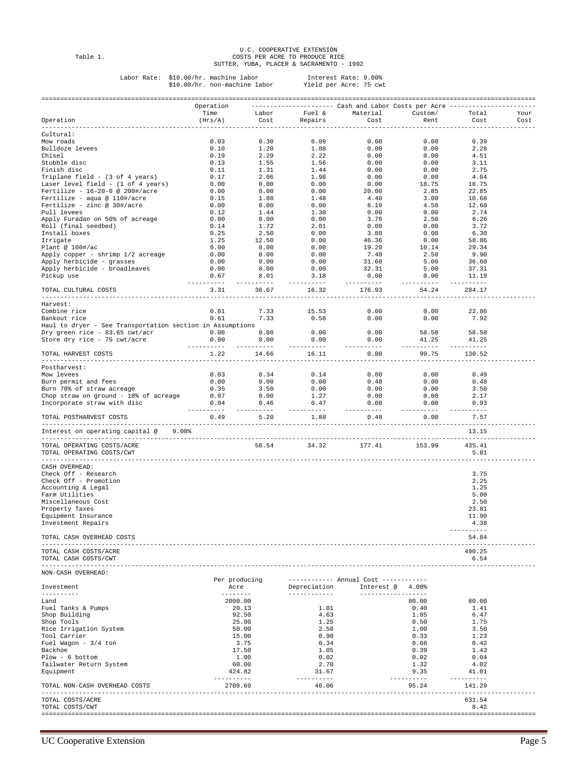U.C. COOPERATIVE EXTENSION Table 1. COSTS PER ACRE TO PRODUCE RICE SUTTER, YUBA, PLACER & SACRAMENTO - 1992

Labor Rate: \$10.00/hr. machine labor Interest Rate: 9.00% \$10.00/hr. non-machine labor Yield per Acre: 75 cwt

| Operation<br>Time<br>Operation<br>(Hrs/A)<br>Cultural:<br>Mow roads<br>0.03<br>0.10<br>Bulldoze levees<br>Chisel<br>Stubble disc<br>Finish disc<br>Triplane field - (3 of 4 years)<br>Laser level field - (1 of 4 years)<br>Fertilize - 16-20-0 @ 200#/acre<br>Fertilize - aqua @ $110\frac{1}{2}$ acre<br>Fertilize - zinc @ $30\frac{1}{4}$ /acre | $\begin{array}{cccc} 0.00 & 0.00 & 0.00 \ 0.12 & 1.44 & 1.30 \ 0.00 & 0.00 & 0.00 & 0.00 \ 0.14 & 1.72 & 2.01 \end{array}$ | Labor<br>Cost<br>0.30<br>1.20 | Repairs<br>0.09<br>1.08                                                                                                                | --------------------- Cash and Labor Costs per Acre -<br>Fuel & Material<br>Cost<br>0.00<br>0.00 | Custom/<br>Rent<br>0.00<br>0.00<br>0.00<br>0.00<br>0.00<br>0.00<br>18.75<br>2.85 | Total<br>Cost<br>0.39<br>2.28<br>4.51<br>3.11<br>2.75<br>4.04<br>18.75 | Your<br>Cost |
|-----------------------------------------------------------------------------------------------------------------------------------------------------------------------------------------------------------------------------------------------------------------------------------------------------------------------------------------------------|----------------------------------------------------------------------------------------------------------------------------|-------------------------------|----------------------------------------------------------------------------------------------------------------------------------------|--------------------------------------------------------------------------------------------------|----------------------------------------------------------------------------------|------------------------------------------------------------------------|--------------|
|                                                                                                                                                                                                                                                                                                                                                     |                                                                                                                            |                               |                                                                                                                                        |                                                                                                  |                                                                                  |                                                                        |              |
|                                                                                                                                                                                                                                                                                                                                                     |                                                                                                                            |                               |                                                                                                                                        |                                                                                                  |                                                                                  |                                                                        |              |
|                                                                                                                                                                                                                                                                                                                                                     |                                                                                                                            |                               |                                                                                                                                        |                                                                                                  |                                                                                  |                                                                        |              |
|                                                                                                                                                                                                                                                                                                                                                     |                                                                                                                            |                               |                                                                                                                                        |                                                                                                  |                                                                                  |                                                                        |              |
|                                                                                                                                                                                                                                                                                                                                                     |                                                                                                                            |                               |                                                                                                                                        |                                                                                                  |                                                                                  |                                                                        |              |
|                                                                                                                                                                                                                                                                                                                                                     |                                                                                                                            |                               |                                                                                                                                        |                                                                                                  |                                                                                  |                                                                        |              |
|                                                                                                                                                                                                                                                                                                                                                     |                                                                                                                            |                               |                                                                                                                                        |                                                                                                  |                                                                                  |                                                                        |              |
|                                                                                                                                                                                                                                                                                                                                                     |                                                                                                                            |                               |                                                                                                                                        |                                                                                                  |                                                                                  |                                                                        |              |
|                                                                                                                                                                                                                                                                                                                                                     |                                                                                                                            |                               |                                                                                                                                        |                                                                                                  |                                                                                  |                                                                        |              |
|                                                                                                                                                                                                                                                                                                                                                     |                                                                                                                            |                               |                                                                                                                                        |                                                                                                  |                                                                                  | 22.85                                                                  |              |
|                                                                                                                                                                                                                                                                                                                                                     |                                                                                                                            |                               |                                                                                                                                        |                                                                                                  | 3.00                                                                             | 10.68                                                                  |              |
|                                                                                                                                                                                                                                                                                                                                                     |                                                                                                                            |                               |                                                                                                                                        | 8.10                                                                                             | 4.50                                                                             | 12.60                                                                  |              |
| Pull levees                                                                                                                                                                                                                                                                                                                                         |                                                                                                                            |                               |                                                                                                                                        | 0.00<br>$0.00$<br>3.76                                                                           | 0.00                                                                             | 2.74                                                                   |              |
| Apply Furadan on 50% of acreage<br>Roll (final seedbed)                                                                                                                                                                                                                                                                                             |                                                                                                                            |                               |                                                                                                                                        | 0.00                                                                                             | 2.50<br>0.00                                                                     | 6.26<br>3.72                                                           |              |
| Install boxes                                                                                                                                                                                                                                                                                                                                       |                                                                                                                            |                               | $\begin{array}{cccc} 0.25 & 2.50 & 0.00\ 1.25 & 12.50 & 0.00\ 0.00 & 0.00 & 0.00\ 0.00 & 0.00 & 0.00\ 0.00 & 0.00 & 0.00\ \end{array}$ | 3.80                                                                                             | 0.00                                                                             | 6.30                                                                   |              |
| Irrigate                                                                                                                                                                                                                                                                                                                                            |                                                                                                                            |                               |                                                                                                                                        | 46.36                                                                                            | 0.00                                                                             | 58.86                                                                  |              |
| Plant @ $160\frac{+}{a}$                                                                                                                                                                                                                                                                                                                            |                                                                                                                            |                               |                                                                                                                                        | $19.20$<br>7.40<br>31.60                                                                         | 10.14                                                                            | 29.34                                                                  |              |
| Apply copper - shrimp 1/2 acreage                                                                                                                                                                                                                                                                                                                   |                                                                                                                            |                               |                                                                                                                                        |                                                                                                  | 2.50                                                                             | 9.90                                                                   |              |
| Apply herbicide - grasses<br>0.00                                                                                                                                                                                                                                                                                                                   |                                                                                                                            | 0.00                          | 0.00                                                                                                                                   | 32.31                                                                                            | 5.00<br>5.00                                                                     | 36.60<br>37.31                                                         |              |
| Apply herbicide - broadleaves<br>Pickup use<br>0.67                                                                                                                                                                                                                                                                                                 |                                                                                                                            |                               | 8.01 3.18                                                                                                                              | 0.00                                                                                             | 0.00                                                                             | 11.19                                                                  |              |
| -----------                                                                                                                                                                                                                                                                                                                                         |                                                                                                                            | -------                       | -----------                                                                                                                            | ----------                                                                                       | ---------                                                                        | -------                                                                |              |
| 3.31<br>TOTAL CULTURAL COSTS                                                                                                                                                                                                                                                                                                                        |                                                                                                                            | 36.67                         | 16.32                                                                                                                                  | 176.93                                                                                           | 54.24                                                                            | 284.17                                                                 |              |
| Harvest:                                                                                                                                                                                                                                                                                                                                            |                                                                                                                            |                               |                                                                                                                                        |                                                                                                  |                                                                                  |                                                                        |              |
| Combine rice<br>0.61                                                                                                                                                                                                                                                                                                                                |                                                                                                                            | 7.33                          |                                                                                                                                        | $15.53$ $0.00$ $0.00$ $0.00$ $0.00$                                                              | 0.00                                                                             | 22.86                                                                  |              |
| Bankout rice                                                                                                                                                                                                                                                                                                                                        | $0.61$ $7.33$                                                                                                              |                               |                                                                                                                                        |                                                                                                  |                                                                                  | 7.92                                                                   |              |
| Haul to dryer - See Transportation section in Assumptions<br>Dry green rice - 83.65 cwt/acr $0.00$ 0.00 0.00                                                                                                                                                                                                                                        |                                                                                                                            |                               | 0.00                                                                                                                                   | 0.00                                                                                             | 58.50                                                                            | 58.50                                                                  |              |
| Store dry rice - 75 cwt/acre                                                                                                                                                                                                                                                                                                                        |                                                                                                                            |                               | $0.00$ $0.00$ $0.00$                                                                                                                   | 0.00                                                                                             | 41.25                                                                            | 41.25                                                                  |              |
| ----------                                                                                                                                                                                                                                                                                                                                          |                                                                                                                            | ----------                    | ----------                                                                                                                             | ----------                                                                                       | ---------                                                                        | -------                                                                |              |
| 1.22<br>TOTAL HARVEST COSTS<br>________________________________                                                                                                                                                                                                                                                                                     |                                                                                                                            | 14.66                         | 16.11                                                                                                                                  | 0.00<br>----------                                                                               | 99.75<br>---------                                                               | 130.52                                                                 |              |
| Postharvest:                                                                                                                                                                                                                                                                                                                                        |                                                                                                                            |                               |                                                                                                                                        |                                                                                                  |                                                                                  |                                                                        |              |
| Mow levees                                                                                                                                                                                                                                                                                                                                          |                                                                                                                            |                               | $0.03$ $0.34$ $0.14$<br>0.00 0.00 0.00                                                                                                 | 0.00                                                                                             | 0.00                                                                             | 0.49                                                                   |              |
| Burn permit and fees                                                                                                                                                                                                                                                                                                                                |                                                                                                                            |                               |                                                                                                                                        | 0.48                                                                                             | 0.00                                                                             | 0.48                                                                   |              |
| 0.35<br>Burn 70% of straw acreage<br>0.07<br>Chop straw on ground - 10% of acreage                                                                                                                                                                                                                                                                  |                                                                                                                            | 3.50<br>0.90                  | 0.00<br>1.27                                                                                                                           | 0.00<br>0.00                                                                                     | 0.00<br>0.00                                                                     | 3.50<br>2.17                                                           |              |
| Incorporate straw with disc<br>0.04                                                                                                                                                                                                                                                                                                                 |                                                                                                                            |                               | $0.46$ 0.47                                                                                                                            | 0.00                                                                                             | 0.00                                                                             | 0.93                                                                   |              |
| ----------<br>0.49                                                                                                                                                                                                                                                                                                                                  |                                                                                                                            | -------<br>5.20               | ----------<br>1.88                                                                                                                     | ----------<br>0.48                                                                               | ---------<br>0.00                                                                | ------<br>7.57                                                         |              |
| TOTAL POSTHARVEST COSTS                                                                                                                                                                                                                                                                                                                             |                                                                                                                            |                               |                                                                                                                                        |                                                                                                  |                                                                                  |                                                                        |              |
| Interest on operating capital @<br>$9.00$ $$$                                                                                                                                                                                                                                                                                                       |                                                                                                                            |                               |                                                                                                                                        |                                                                                                  |                                                                                  | 13.15                                                                  |              |
| TOTAL OPERATING COSTS/ACRE<br>TOTAL OPERATING COSTS/CWT                                                                                                                                                                                                                                                                                             |                                                                                                                            | 56.54                         | 34.32                                                                                                                                  | 177.41                                                                                           | 153.99                                                                           | 435.41<br>5.81                                                         |              |
| CASH OVERHEAD:                                                                                                                                                                                                                                                                                                                                      |                                                                                                                            |                               |                                                                                                                                        |                                                                                                  |                                                                                  |                                                                        |              |
| Check Off - Research                                                                                                                                                                                                                                                                                                                                |                                                                                                                            |                               |                                                                                                                                        |                                                                                                  |                                                                                  | 3.75                                                                   |              |
| Check Off - Promotion                                                                                                                                                                                                                                                                                                                               |                                                                                                                            |                               |                                                                                                                                        |                                                                                                  |                                                                                  | 2.25                                                                   |              |
| Accounting & Legal<br>Farm Utilities                                                                                                                                                                                                                                                                                                                |                                                                                                                            |                               |                                                                                                                                        |                                                                                                  |                                                                                  | 1.25<br>5.00                                                           |              |
| Miscellaneous Cost                                                                                                                                                                                                                                                                                                                                  |                                                                                                                            |                               |                                                                                                                                        |                                                                                                  |                                                                                  | 2.50                                                                   |              |
| Property Taxes                                                                                                                                                                                                                                                                                                                                      |                                                                                                                            |                               |                                                                                                                                        |                                                                                                  |                                                                                  | 23.81                                                                  |              |
| Equipment Insurance                                                                                                                                                                                                                                                                                                                                 |                                                                                                                            |                               |                                                                                                                                        |                                                                                                  |                                                                                  | 11.90                                                                  |              |
| Investment Repairs                                                                                                                                                                                                                                                                                                                                  |                                                                                                                            |                               |                                                                                                                                        |                                                                                                  |                                                                                  | 4.38<br>----------                                                     |              |
| TOTAL CASH OVERHEAD COSTS                                                                                                                                                                                                                                                                                                                           |                                                                                                                            |                               |                                                                                                                                        |                                                                                                  |                                                                                  | 54.84                                                                  |              |
| ---------------------<br>TOTAL CASH COSTS/ACRE<br>TOTAL CASH COSTS/CWT                                                                                                                                                                                                                                                                              |                                                                                                                            |                               |                                                                                                                                        |                                                                                                  |                                                                                  | 490.25<br>6.54                                                         |              |
| ----------------------<br>NON-CASH OVERHEAD:                                                                                                                                                                                                                                                                                                        |                                                                                                                            |                               |                                                                                                                                        |                                                                                                  |                                                                                  |                                                                        |              |
| Investment<br>----------                                                                                                                                                                                                                                                                                                                            | Per producing<br>Acre<br>---------                                                                                         |                               | Depreciation<br>-------------                                                                                                          | ----------- Annual Cost ------------<br>Interest @ 4.00%<br>-------------------                  |                                                                                  |                                                                        |              |
| Land                                                                                                                                                                                                                                                                                                                                                | 2000.00                                                                                                                    |                               |                                                                                                                                        |                                                                                                  | 80.00                                                                            | 80.00                                                                  |              |
| Fuel Tanks & Pumps                                                                                                                                                                                                                                                                                                                                  | 20.13                                                                                                                      |                               | 1.01                                                                                                                                   |                                                                                                  | 0.40                                                                             | 1.41                                                                   |              |
| Shop Building                                                                                                                                                                                                                                                                                                                                       | 92.50                                                                                                                      |                               | 4.63                                                                                                                                   |                                                                                                  | 1.85                                                                             | 6.47                                                                   |              |
| Shop Tools                                                                                                                                                                                                                                                                                                                                          | 25.00                                                                                                                      |                               | 1.25                                                                                                                                   |                                                                                                  | 0.50                                                                             | 1.75                                                                   |              |
| Rice Irrigation System<br>Tool Carrier                                                                                                                                                                                                                                                                                                              | 50.00<br>15.00                                                                                                             |                               | 2.50<br>0.90                                                                                                                           |                                                                                                  | 1.00<br>0.33                                                                     | 3.50<br>1.23                                                           |              |
| Fuel Wagon - $3/4$ ton                                                                                                                                                                                                                                                                                                                              | 3.75                                                                                                                       |                               | 0.34                                                                                                                                   |                                                                                                  | 0.08                                                                             | 0.42                                                                   |              |
| Backhoe                                                                                                                                                                                                                                                                                                                                             | 17.50                                                                                                                      |                               | 1.05                                                                                                                                   |                                                                                                  | 0.39                                                                             | 1.43                                                                   |              |
| $Plow - 6 bottom$                                                                                                                                                                                                                                                                                                                                   | 1.00                                                                                                                       |                               | 0.02                                                                                                                                   |                                                                                                  | 0.02                                                                             | 0.04                                                                   |              |
| Tailwater Return System                                                                                                                                                                                                                                                                                                                             | 60.00                                                                                                                      |                               | 2.70                                                                                                                                   |                                                                                                  | 1.32                                                                             | 4.02                                                                   |              |
| Equipment                                                                                                                                                                                                                                                                                                                                           | 424.82<br>----------                                                                                                       |                               | 31.67<br>----------                                                                                                                    |                                                                                                  | 9.35<br>-----------                                                              | 41.01<br>----------                                                    |              |
| TOTAL NON-CASH OVERHEAD COSTS<br>-------------------------                                                                                                                                                                                                                                                                                          | 2709.69                                                                                                                    |                               | 46.06                                                                                                                                  |                                                                                                  | 95.24                                                                            | 141.29                                                                 |              |
| TOTAL COSTS/ACRE<br>TOTAL COSTS/CWT                                                                                                                                                                                                                                                                                                                 |                                                                                                                            |                               |                                                                                                                                        |                                                                                                  |                                                                                  | 631.54<br>8.42                                                         |              |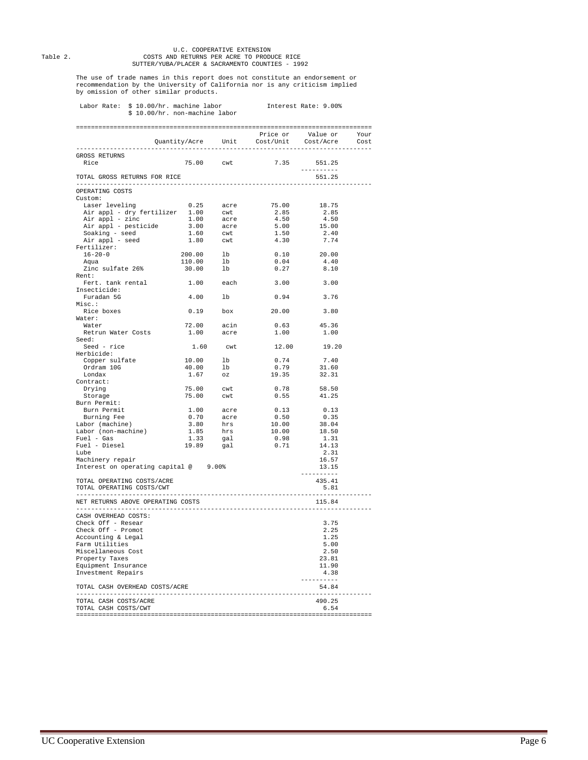# U.C. COOPERATIVE EXTENSION<br>COSTS AND RETURNS PER ACRE TO PRODUCE RICE<br>SUTTER/YUBA/PLACER & SACRAMENTO COUNTIES - 1992

The use of trade names in this report does not constitute an endorsement or recommendation by the University of California nor is any criticism implied by omission of other similar products.

## Labor Rate: \$ 10.00/hr. machine labor Interest Rate: 9.00% \$ 10.00/hr. non-machine labor

|                                                                                                                                                                                                                                          |                                                                                                   |                         |                                                                                                                                                                     |                    | Cost |
|------------------------------------------------------------------------------------------------------------------------------------------------------------------------------------------------------------------------------------------|---------------------------------------------------------------------------------------------------|-------------------------|---------------------------------------------------------------------------------------------------------------------------------------------------------------------|--------------------|------|
| GROSS RETURNS                                                                                                                                                                                                                            |                                                                                                   |                         |                                                                                                                                                                     |                    |      |
| Rice                                                                                                                                                                                                                                     |                                                                                                   |                         | 75.00 cwt 7.35                                                                                                                                                      | 551.25             |      |
|                                                                                                                                                                                                                                          |                                                                                                   |                         |                                                                                                                                                                     | <u> 2222222222</u> |      |
| TOTAL GROSS RETURNS FOR RICE                                                                                                                                                                                                             |                                                                                                   |                         |                                                                                                                                                                     | 551.25             |      |
|                                                                                                                                                                                                                                          |                                                                                                   |                         |                                                                                                                                                                     |                    |      |
| OPERATING COSTS                                                                                                                                                                                                                          |                                                                                                   |                         |                                                                                                                                                                     |                    |      |
| Custom:                                                                                                                                                                                                                                  |                                                                                                   |                         |                                                                                                                                                                     |                    |      |
| 19.25 Air appl - dry fertilizer 1.00 cwt 2.85 2.85<br>Air appl - zinc 1.00 cwt 2.85 2.85<br>Air appl - zinc 1.00 acre 4.50 4.50<br>Air appl - pesticide 3.00 acre 5.00 15.00<br>Soaking - seed 1.60 cwt 1.50 2.40<br>Air appl - seed 1.8 |                                                                                                   |                         |                                                                                                                                                                     |                    |      |
|                                                                                                                                                                                                                                          |                                                                                                   |                         |                                                                                                                                                                     |                    |      |
|                                                                                                                                                                                                                                          |                                                                                                   |                         |                                                                                                                                                                     |                    |      |
|                                                                                                                                                                                                                                          |                                                                                                   |                         |                                                                                                                                                                     |                    |      |
|                                                                                                                                                                                                                                          |                                                                                                   |                         |                                                                                                                                                                     |                    |      |
| Fertilizer:                                                                                                                                                                                                                              |                                                                                                   |                         |                                                                                                                                                                     |                    |      |
| $16 - 20 - 0$<br>Amia                                                                                                                                                                                                                    | $200.00$ lb<br>110.00 lb<br>30.00 lb                                                              |                         |                                                                                                                                                                     | 20.00              |      |
|                                                                                                                                                                                                                                          |                                                                                                   |                         | $\begin{smallmatrix} 0.10 \ 0.04 \end{smallmatrix}$                                                                                                                 | 4.40               |      |
| Zinc sulfate 26%                                                                                                                                                                                                                         |                                                                                                   |                         | 0.27                                                                                                                                                                | 8.10               |      |
| Rent:                                                                                                                                                                                                                                    |                                                                                                   |                         |                                                                                                                                                                     |                    |      |
| Fert. tank rental                                                                                                                                                                                                                        | 1.00 each                                                                                         |                         | 3.00                                                                                                                                                                | 3.00               |      |
| Insecticide:                                                                                                                                                                                                                             |                                                                                                   |                         |                                                                                                                                                                     |                    |      |
| Furadan 5G                                                                                                                                                                                                                               | 4.00 lb                                                                                           |                         | 0.94                                                                                                                                                                | 3.76               |      |
| Misc.:                                                                                                                                                                                                                                   |                                                                                                   |                         |                                                                                                                                                                     |                    |      |
| Rice boxes                                                                                                                                                                                                                               | $0.19$ box                                                                                        |                         | 20.00                                                                                                                                                               | 3.80               |      |
| Water:                                                                                                                                                                                                                                   |                                                                                                   |                         |                                                                                                                                                                     |                    |      |
| Water                                                                                                                                                                                                                                    |                                                                                                   | 72.00 acin<br>1.00 acre | 0.63                                                                                                                                                                | 45.36              |      |
| Retrun Water Costs                                                                                                                                                                                                                       |                                                                                                   |                         | 1.00                                                                                                                                                                | 1.00               |      |
| Seed:<br>Seed - rice                                                                                                                                                                                                                     | 1.60                                                                                              |                         | 12.00                                                                                                                                                               | 19.20              |      |
| Herbicide:                                                                                                                                                                                                                               |                                                                                                   | cwt                     |                                                                                                                                                                     |                    |      |
| Copper sulfate                                                                                                                                                                                                                           |                                                                                                   |                         |                                                                                                                                                                     | 7.40               |      |
| Ordram 10G                                                                                                                                                                                                                               |                                                                                                   |                         | $0.74$<br>$0.75$                                                                                                                                                    | 31.60              |      |
| Londax                                                                                                                                                                                                                                   | $\begin{array}{ccc} 10.00 & & \text{lb} \\ 40.00 & & \text{lb} \\ 1.67 & & \text{oz} \end{array}$ |                         | 19.35                                                                                                                                                               | 32.31              |      |
| Contract:                                                                                                                                                                                                                                |                                                                                                   |                         |                                                                                                                                                                     |                    |      |
| Drying                                                                                                                                                                                                                                   |                                                                                                   |                         | 0.78                                                                                                                                                                | 58.50              |      |
| Storage                                                                                                                                                                                                                                  | 75.00 cwt<br>75.00 cwt                                                                            |                         | 0.55                                                                                                                                                                | 41.25              |      |
| Burn Permit:                                                                                                                                                                                                                             |                                                                                                   |                         |                                                                                                                                                                     |                    |      |
| Burn Permit                                                                                                                                                                                                                              |                                                                                                   |                         | $\begin{tabular}{cc} 1.00 & acre & 0.13 \\ 0.70 & acre & 0.50 \\ 3.80 & hrs & 10.00 \\ 1.85 & hrs & 10.00 \\ 1.33 & gal & 0.98 \\ 19.89 & gal & 0.71 \end{tabular}$ | 0.13               |      |
| Burning Fee                                                                                                                                                                                                                              |                                                                                                   |                         |                                                                                                                                                                     | 0.35               |      |
| Labor (machine)                                                                                                                                                                                                                          |                                                                                                   |                         |                                                                                                                                                                     | دد.∪<br>38.04      |      |
| Labor (non-machine)                                                                                                                                                                                                                      |                                                                                                   |                         |                                                                                                                                                                     | 18.50              |      |
| $Full - Gas$                                                                                                                                                                                                                             |                                                                                                   |                         |                                                                                                                                                                     | 1.31               |      |
| Fuel - Diesel                                                                                                                                                                                                                            |                                                                                                   |                         |                                                                                                                                                                     | 14.13              |      |
| Tube                                                                                                                                                                                                                                     |                                                                                                   |                         |                                                                                                                                                                     | 2.31               |      |
| Machinery repair                                                                                                                                                                                                                         |                                                                                                   |                         |                                                                                                                                                                     | 16.57              |      |
| Interest on operating capital @ 9.00%                                                                                                                                                                                                    |                                                                                                   |                         |                                                                                                                                                                     | 13.15<br>$- - -$   |      |
| TOTAL OPERATING COSTS/ACRE                                                                                                                                                                                                               |                                                                                                   |                         |                                                                                                                                                                     | 435.41             |      |
| TOTAL OPERATING COSTS/CWT                                                                                                                                                                                                                |                                                                                                   |                         |                                                                                                                                                                     | 5.81               |      |
|                                                                                                                                                                                                                                          |                                                                                                   |                         |                                                                                                                                                                     | .                  |      |
| NET RETURNS ABOVE OPERATING COSTS                                                                                                                                                                                                        |                                                                                                   |                         |                                                                                                                                                                     | 115.84             |      |
| --------------------                                                                                                                                                                                                                     |                                                                                                   |                         |                                                                                                                                                                     |                    |      |
| CASH OVERHEAD COSTS:                                                                                                                                                                                                                     |                                                                                                   |                         |                                                                                                                                                                     |                    |      |
| Check Off - Resear                                                                                                                                                                                                                       |                                                                                                   |                         |                                                                                                                                                                     | 3.75               |      |
| Check Off - Promot                                                                                                                                                                                                                       |                                                                                                   |                         |                                                                                                                                                                     | 2.25               |      |
| Accounting & Legal                                                                                                                                                                                                                       |                                                                                                   |                         |                                                                                                                                                                     | 1.25               |      |
| Farm Utilities                                                                                                                                                                                                                           |                                                                                                   |                         |                                                                                                                                                                     | 5.00               |      |
| Miscellaneous Cost                                                                                                                                                                                                                       |                                                                                                   |                         |                                                                                                                                                                     | 2.50<br>23.81      |      |
| Property Taxes                                                                                                                                                                                                                           |                                                                                                   |                         |                                                                                                                                                                     |                    |      |
| Equipment Insurance                                                                                                                                                                                                                      |                                                                                                   |                         |                                                                                                                                                                     | 11.90<br>4.38      |      |
| Investment Repairs                                                                                                                                                                                                                       |                                                                                                   |                         |                                                                                                                                                                     | ----------         |      |
| TOTAL CASH OVERHEAD COSTS/ACRE                                                                                                                                                                                                           |                                                                                                   |                         |                                                                                                                                                                     | 54.84              |      |
|                                                                                                                                                                                                                                          |                                                                                                   |                         |                                                                                                                                                                     |                    |      |
| TOTAL CASH COSTS/ACRE                                                                                                                                                                                                                    |                                                                                                   |                         |                                                                                                                                                                     | 490.25             |      |
| TOTAL CASH COSTS/CWT                                                                                                                                                                                                                     |                                                                                                   |                         |                                                                                                                                                                     | 6.54               |      |
|                                                                                                                                                                                                                                          |                                                                                                   |                         |                                                                                                                                                                     |                    |      |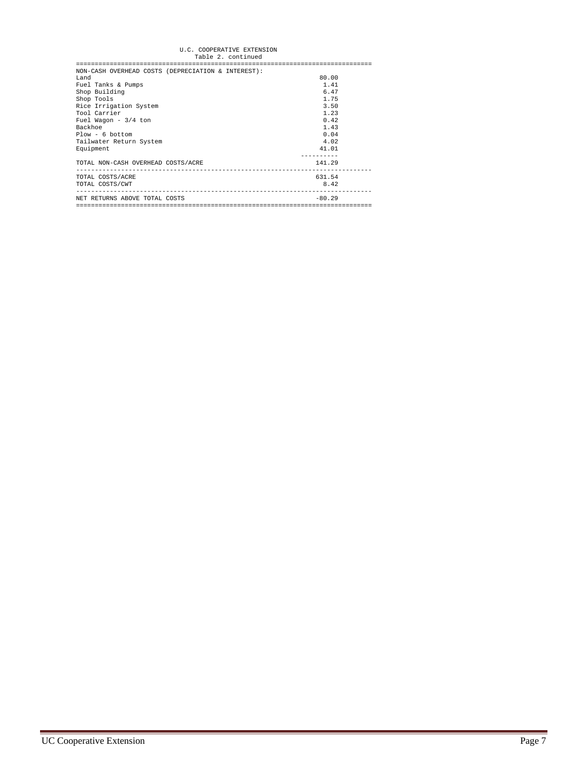## U.C. COOPERATIVE EXTENSION Table 2. continued

| Table 2. Concinued                                 |          |
|----------------------------------------------------|----------|
|                                                    |          |
| NON-CASH OVERHEAD COSTS (DEPRECIATION & INTEREST): |          |
| Land                                               | 80.00    |
| Fuel Tanks & Pumps                                 | 1.41     |
| Shop Building                                      | 6.47     |
| Shop Tools                                         | 1.75     |
| Rice Irrigation System                             | 3.50     |
| Tool Carrier                                       | 1.23     |
| Fuel Wagon $-3/4$ ton                              | 0.42     |
| Backhoe                                            | 1.43     |
| $Plow - 6$ bottom                                  | 0.04     |
| Tailwater Return System                            | 4.02     |
| Equipment                                          | 41.01    |
|                                                    |          |
| TOTAL NON-CASH OVERHEAD COSTS/ACRE                 | 141.29   |
| TOTAL COSTS/ACRE                                   | 631.54   |
| TOTAL COSTS/CWT                                    | 8.42     |
|                                                    |          |
| NET RETURNS ABOVE TOTAL COSTS                      | $-80.29$ |
|                                                    |          |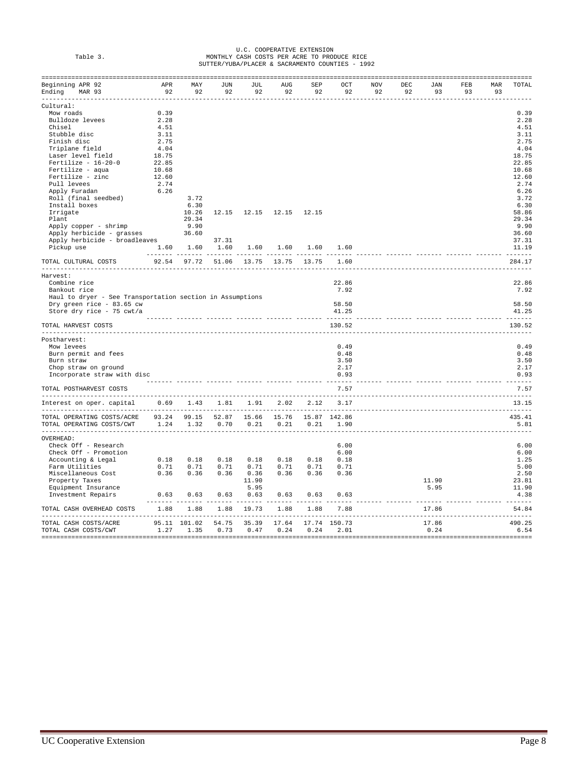|          | U.C. COOPERATIVE EXTENSION                      |
|----------|-------------------------------------------------|
| Table 3. | MONTHLY CASH COSTS PER ACRE TO PRODUCE RICE     |
|          | SUTTER/YUBA/PLACER & SACRAMENTO COUNTIES - 1992 |

| Beginning APR 92                                                                           |       | APR MAY                             | JUN             | JUL           | AUG               | SEP                  | OCT       | <b>NOV</b> | DEC | JAN   | FEB    | MAR | TOTAL  |
|--------------------------------------------------------------------------------------------|-------|-------------------------------------|-----------------|---------------|-------------------|----------------------|-----------|------------|-----|-------|--------|-----|--------|
| Ending MAR 93                                                                              | 92    | 92                                  | 92              |               | 92 92             | 92                   | 92        | 92         | 92  | 93    | 93     | 93  |        |
|                                                                                            |       |                                     |                 |               |                   |                      |           |            |     |       |        |     |        |
| Cultural:                                                                                  |       |                                     |                 |               |                   |                      |           |            |     |       |        |     |        |
| Mow roads                                                                                  | 0.39  |                                     |                 |               |                   |                      |           |            |     |       |        |     | 0.39   |
| Bulldoze levees                                                                            | 2.28  |                                     |                 |               |                   |                      |           |            |     |       |        |     | 2.28   |
| Chisel                                                                                     | 4.51  |                                     |                 |               |                   |                      |           |            |     |       |        |     | 4.51   |
| Stubble disc                                                                               | 3.11  |                                     |                 |               |                   |                      |           |            |     |       |        |     | 3.11   |
| Finish disc                                                                                | 2.75  |                                     |                 |               |                   |                      |           |            |     |       |        |     | 2.75   |
| Triplane field                                                                             | 4.04  |                                     |                 |               |                   |                      |           |            |     |       |        |     | 4.04   |
| Laser level field                                                                          | 18.75 |                                     |                 |               |                   |                      |           |            |     |       |        |     | 18.75  |
| $Fertilize - 16-20-0$                                                                      | 22.85 |                                     |                 |               |                   |                      |           |            |     |       |        |     | 22.85  |
| Fertilize - aqua                                                                           | 10.68 |                                     |                 |               |                   |                      |           |            |     |       |        |     | 10.68  |
| Fertilize - zinc                                                                           | 12.60 |                                     |                 |               |                   |                      |           |            |     |       |        |     | 12.60  |
| Pull levees                                                                                | 2.74  |                                     |                 |               |                   |                      |           |            |     |       |        |     | 2.74   |
| Apply Furadan                                                                              | 6.26  |                                     |                 |               |                   |                      |           |            |     |       |        |     | 6.26   |
| Roll (final seedbed)                                                                       |       | 3.72                                |                 |               |                   |                      |           |            |     |       |        |     | 3.72   |
| Install boxes                                                                              |       | 6.30                                |                 |               |                   |                      |           |            |     |       |        |     | 6.30   |
| Irrigate                                                                                   |       | 10.26                               | 12.15           |               | 12.15 12.15 12.15 |                      |           |            |     |       |        |     | 58.86  |
| Plant                                                                                      |       | 29.34                               |                 |               |                   |                      |           |            |     |       |        |     | 29.34  |
| Apply copper - shrimp                                                                      |       | 9.90                                |                 |               |                   |                      |           |            |     |       |        |     | 9.90   |
|                                                                                            |       |                                     |                 |               |                   |                      |           |            |     |       |        |     | 36.60  |
| Apply herbicide - grasses 36.60<br>Apply herbicide - grasses 36.60                         |       |                                     | 37.31           |               |                   |                      |           |            |     |       |        |     | 37.31  |
| 1.60 1.60<br>Pickup use                                                                    |       |                                     | 1.60            | 1.60          |                   | $1.60$ $1.60$ $1.60$ |           |            |     |       |        |     | 11.19  |
| TOTAL CULTURAL COSTS                                                                       |       | 92.54 97.72 51.06 13.75 13.75 13.75 |                 |               |                   |                      | .<br>1.60 |            |     |       |        |     | 284.17 |
|                                                                                            |       |                                     |                 |               |                   |                      |           |            |     |       |        |     |        |
| Harvest:                                                                                   |       |                                     |                 |               |                   |                      |           |            |     |       |        |     |        |
| Combine rice                                                                               |       |                                     |                 |               |                   |                      | 22.86     |            |     |       |        |     | 22.86  |
| Bankout rice                                                                               |       |                                     |                 |               |                   |                      | 7.92      |            |     |       |        |     | 7.92   |
| Haul to dryer - See Transportation section in Assumptions                                  |       |                                     |                 |               |                   |                      |           |            |     |       |        |     |        |
| Dry green rice - 83.65 cw                                                                  |       |                                     |                 |               |                   |                      | 58.50     |            |     |       |        |     | 58.50  |
| Store dry rice - 75 cwt/a                                                                  |       |                                     |                 |               |                   |                      | 41.25     |            |     |       |        |     | 41.25  |
| TOTAL HARVEST COSTS                                                                        |       |                                     |                 |               |                   |                      | 130.52    |            |     |       |        |     | 130.52 |
| Postharvest:                                                                               |       |                                     |                 |               |                   |                      |           |            |     |       |        |     |        |
| Mow levees                                                                                 |       |                                     |                 |               |                   |                      | 0.49      |            |     |       |        |     | 0.49   |
| Burn permit and fees                                                                       |       |                                     |                 |               |                   |                      | 0.48      |            |     |       |        |     | 0.48   |
| Burn straw                                                                                 |       |                                     |                 |               |                   |                      | 3.50      |            |     |       |        |     | 3.50   |
|                                                                                            |       |                                     |                 |               |                   |                      | 2.17      |            |     |       |        |     | 2.17   |
| Chop straw on ground                                                                       |       |                                     |                 |               |                   |                      | 0.93      |            |     |       |        |     | 0.93   |
| Incorporate straw with disc                                                                |       |                                     |                 |               |                   |                      |           |            |     |       |        |     |        |
| TOTAL POSTHARVEST COSTS                                                                    |       |                                     |                 |               |                   |                      | 7.57      |            |     |       |        |     | 7.57   |
| Interest on oper. capital 0.69 1.43 1.81 1.91 2.02 2.12                                    |       |                                     |                 |               |                   |                      | 3.17      |            |     |       |        |     | 13.15  |
| TOTAL OPERATING COSTS/ACRE 93.24 99.15 52.87 15.66 15.76 15.87 142.86                      |       |                                     |                 |               |                   |                      |           |            |     |       |        |     | 435.41 |
|                                                                                            |       |                                     |                 |               |                   |                      |           |            |     |       |        |     | 5.81   |
| OVERHEAD:                                                                                  |       |                                     |                 |               |                   |                      |           |            |     |       |        |     |        |
| Check Off - Research                                                                       |       |                                     |                 |               |                   |                      | 6.00      |            |     |       |        |     | 6.00   |
|                                                                                            |       |                                     |                 |               |                   |                      |           |            |     |       |        |     |        |
| Check Off - Promotion                                                                      |       |                                     |                 |               |                   |                      | 6.00      |            |     |       |        |     | 6.00   |
| Accounting & Legal                                                                         |       | $0.18$ $0.18$                       | 0.18            | 0.18          | 0.18              | 0.18                 | 0.18      |            |     |       |        |     | 1.25   |
| Farm Utilities                                                                             | 0.71  | 0.71                                | 0.71            | 0.71          | 0.71              | 0.71                 | 0.71      |            |     |       |        |     | 5.00   |
| Miscellaneous Cost                                                                         |       | $0.36$ $0.36$                       |                 | $0.36$ $0.36$ | 0.36              | 0.36                 | 0.36      |            |     |       |        |     | 2.50   |
| Property Taxes                                                                             |       |                                     |                 | 11.90         |                   |                      |           |            |     | 11.90 |        |     | 23.81  |
| Equipment Insurance                                                                        |       |                                     |                 | 5.95          |                   |                      |           |            |     | 5.95  |        |     | 11.90  |
| Investment Repairs                                                                         | 0.63  | 0.63                                | 0.63            | 0.63          | 0.63              | 0.63                 | 0.63      |            |     |       |        |     | 4.38   |
| TOTAL CASH OVERHEAD COSTS                                                                  | 1.88  |                                     | 1.88 1.88 19.73 |               | 1.88              |                      | 1.88 7.88 |            |     | 17.86 |        |     | 54.84  |
| TOTAL CASH COSTS/ACRE 35.11 101.02 54.75 35.39 17.64 17.74 150.73 17.86 17.74 150.73 17.86 |       |                                     |                 |               |                   |                      |           |            |     |       | 490.25 |     |        |
|                                                                                            |       |                                     |                 |               |                   |                      |           |            |     |       |        |     | 6.54   |
|                                                                                            |       |                                     |                 |               |                   |                      |           |            |     |       |        |     |        |
|                                                                                            |       |                                     |                 |               |                   |                      |           |            |     |       |        |     |        |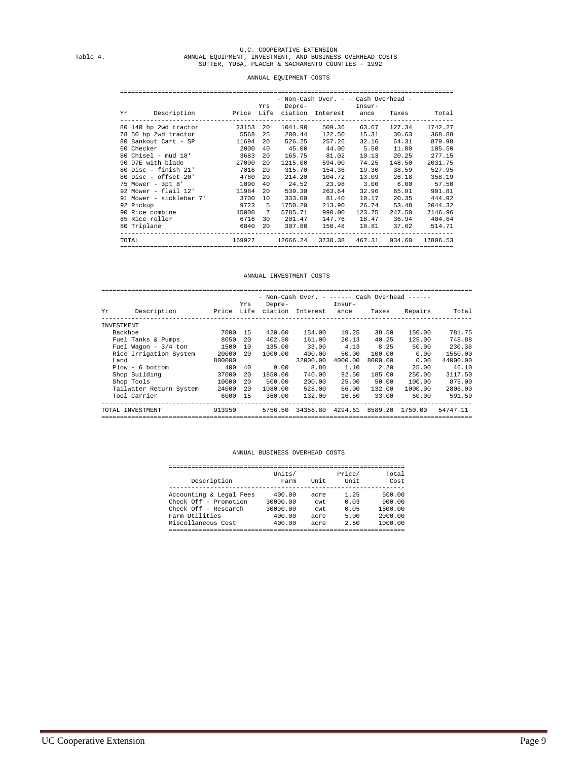# U.C. COOPERATIVE EXTENSION Table 4. ANNUAL EQUIPMENT, INVESTMENT, AND BUSINESS OVERHEAD COSTS SUTTER, YUBA, PLACER & SACRAMENTO COUNTIES - 1992

#### ANNUAL EQUIPMENT COSTS

|             |                                                                    | Yrs            |                | Depre- Insur-                                  |                    |        |
|-------------|--------------------------------------------------------------------|----------------|----------------|------------------------------------------------|--------------------|--------|
|             | Yr Description – Price Life ciation Interest ance Taxes – Total    |                |                |                                                |                    |        |
|             | 80 140 hp 2wd tractor   23153 20 1041.90   509.36   63.67   127.34 |                |                |                                                |                    |        |
|             | 78 50 hp 2wd tractor 5568                                          | 25             | 200.44         |                                                | 122.50 15.31 30.63 |        |
|             | 80 Bankout Cart - SP 11694                                         | 20             | 526.25         | 257.26                                         | 32.16              | 64.31  |
| 60 Checker  | 2000                                                               |                |                | 40  45.00  44.00  5.50                         |                    | 11.00  |
|             | 80 Chisel - mud 18' 3683                                           | 20             |                | 165.75 81.02                                   | 10.13              | 20.25  |
|             | 90 D7E with blade 27000                                            | 20             | 1215.00        | 594.00                                         | 74.25              | 148.50 |
|             | 80 Disc - finish 21' 7016                                          | 20             | 315.70         | 154.36                                         | 19.30              | 38.59  |
|             | 80 Disc - offset 20' 4760                                          | 20             | 214.20         | 104.72                                         | 13.09              | 26.18  |
|             | 75 Mower - 3pt 8' 1090                                             | 40             | 24.52          | 23.98 3.00 6.00                                |                    |        |
|             | 92 Mower - flail 12' 11984                                         | 20             | 539.30         |                                                | 263.64 32.96       | 65.91  |
|             | 91 Mower - sicklebar 7' 3700                                       | 10             | 333.00         | 81.40                                          | 10.17              | 20.35  |
| 92 Pickup   | 9723 5                                                             |                | 1750.20        | 213.90                                         | 26.74              | 53.48  |
|             | 90 Rice combine 45000                                              | $7\phantom{0}$ | 5785.71        | 990.00                                         | 123.75             | 247.50 |
|             | 85 Rice roller 6716                                                | 30             | 201.47         | 147.76                                         | 18.47              | 36.94  |
| 80 Triplane |                                                                    |                | 6840 20 307.80 | 150.48 18.81                                   |                    | 37.62  |
|             | TOTAL TOTAL                                                        |                |                | 169927 12666.24 3738.38 467.31 934.60 17806.53 |                    |        |

#### ANNUAL INVESTMENT COSTS

|            |                         |        |     |         |                             |                | - Non-Cash Over. - ------ Cash Overhead ------ |         |  |  |
|------------|-------------------------|--------|-----|---------|-----------------------------|----------------|------------------------------------------------|---------|--|--|
| Yr         | Description             |        | Yrs | Depre-  | Price Life ciation Interest | Insur-<br>ance | Taxes                                          | Repairs |  |  |
| INVESTMENT |                         |        |     |         |                             |                |                                                |         |  |  |
| Backhoe    |                         | 7000   | -15 | 420.00  | 154.00                      | 19.25          | 38.50                                          | 150.00  |  |  |
|            | Fuel Tanks & Pumps      | 8050   | 2.0 | 402.50  | 161.00                      | 20.13          | 40.25                                          | 125.00  |  |  |
|            | Fuel Wagon - $3/4$ ton  | 1500   | 10  | 135.00  | 33.00                       | 4.13           | 8.25                                           | 50.00   |  |  |
|            | Rice Irrigation System  | 20000  | 20  | 1000.00 | 400.00                      | 50.00          | 100.00                                         | 0.00    |  |  |
| Land       |                         | 800000 |     |         | 32000.00                    | 4000.00        | 8000.00                                        | 0.00    |  |  |
|            | $Plow - 6 bottom$       | 400    | 40  | 9.00    | 8.80                        | 1.10           | 2.20                                           | 25.00   |  |  |
|            | Shop Building           | 37000  | 2.0 | 1850.00 | 740.00                      | 92.50          | 185.00                                         | 250.00  |  |  |
|            | Shop Tools              | 10000  | 20  | 500.00  | 200.00                      | 25.00          | 50.00                                          | 100.00  |  |  |
|            | Tailwater Return System | 24000  | 2.0 | 1080.00 | 528.00                      | 66.00          | 132.00                                         | 1000.00 |  |  |
|            | Tool Carrier            | 6000   | 1.5 | 360.00  | 132.00                      | 16.50          | 33.00                                          | 50.00   |  |  |
|            | TOTAL INVESTMENT        | 913950 |     | 5756.50 | 34356.80                    | 4294.61        | 8589.20                                        | 1750.00 |  |  |

#### ANNUAL BUSINESS OVERHEAD COSTS

| Description             | Units/<br>Farm | Unit | Price/<br>Unit | Total<br>Cost |
|-------------------------|----------------|------|----------------|---------------|
| Accounting & Legal Fees | 400.00         | acre | 1.25           | 500.00        |
| Check Off - Promotion   | 30000.00       | cwt  | 0.03           | 900.00        |
| Check Off - Research    | 30000.00       | cwt  | 0.05           | 1500.00       |
| Farm Utilities          | 400.00         | acre | 5.00           | 2000.00       |
| Miscellaneous Cost      | 400.00         | acre | 2.50           | 1000.00       |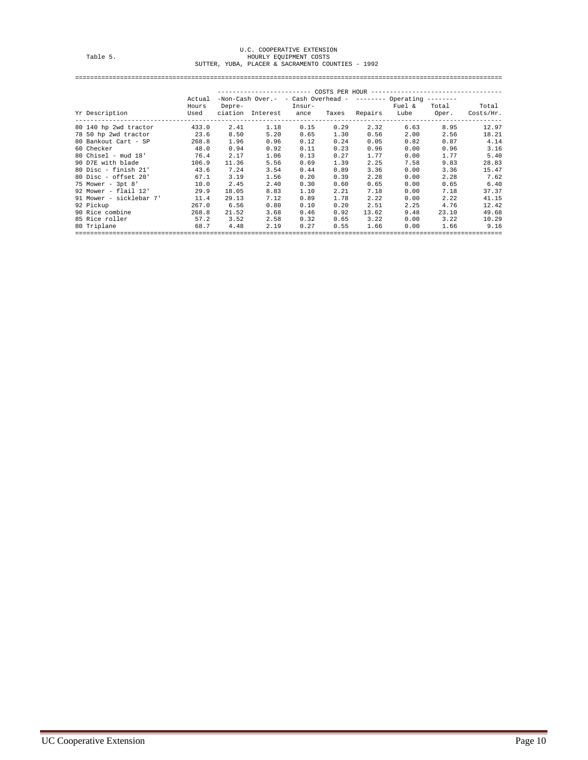# U.C. COOPERATIVE EXTENSION Table 5. HOURLY EQUIPMENT COSTS SUTTER, YUBA, PLACER & SACRAMENTO COUNTIES - 1992

==================================================================================================================

|                           | Actual |        | $-$ Non-Cash Over. - - Cash Overhead - -------- Operating -------- |      |      |               |        |       |           |
|---------------------------|--------|--------|--------------------------------------------------------------------|------|------|---------------|--------|-------|-----------|
|                           | Hours  | Depre- | Insur-                                                             |      |      |               | Fuel & | Total | Total     |
| Yr Description            | Used   |        | ciation Interest ance                                              |      |      | Taxes Repairs | Lube   | Oper. | Costs/Hr. |
| 80 140 hp 2wd tractor     | 433.0  | 2.41   | 1.18                                                               | 0.15 | 0.29 | 2.32          | 6.63   | 8.95  | 12.97     |
| 78 50 hp 2wd tractor 23.6 |        | 8.50   | 5.20                                                               | 0.65 | 1.30 | 0.56          | 2.00   | 2.56  | 18.21     |
| 80 Bankout Cart - SP      | 268.8  | 1.96   | 0.96                                                               | 0.12 | 0.24 | 0.05          | 0.82   | 0.87  |           |
| 60 Checker                | 48.0   | 0.94   | 0.92                                                               | 0.11 | 0.23 | 0.96          | 0.00   | 0.96  |           |
| $80$ Chisel - mud $18'$   | 76.4   | 2.17   | 1.06                                                               | 0.13 | 0.27 | 1.77          | 0.00   | 1.77  |           |
| 90 D7E with blade         | 106.9  | 11.36  | 5.56                                                               | 0.69 | 1.39 | 2.25          | 7.58   | 9.83  | 28.83     |
| $80$ Disc - finish $21'$  | 43.6   | 7.24   | 3.54                                                               | 0.44 | 0.89 | 3.36          | 0.00   | 3.36  | 15.47     |
| $80$ Disc - offset $20'$  | 67.1   | 3.19   | 1.56                                                               | 0.20 | 0.39 | 2.28          | 0.00   | 2.28  |           |
| 75 Mower - 3pt 8'         | 10.0   | 2.45   | 2.40                                                               | 0.30 | 0.60 | 0.65          | 0.00   | 0.65  |           |
| 92 Mower - flail 12'      | 29.9   | 18.05  | 8.83                                                               | 1.10 | 2.21 | 7.18          | 0.00   | 7.18  | 37.37     |
| 91 Mower - sicklebar 7'   | 11.4   | 29.13  | 7.12                                                               | 0.89 | 1.78 | 2.22          | 0.00   | 2.22  | 41.15     |
| 92 Pickup                 | 267.0  | 6.56   | 0.80                                                               | 0.10 | 0.20 | 2.51          | 2.25   | 4.76  | 12.42     |
| 90 Rice combine           | 268.8  | 21.52  | 3.68                                                               | 0.46 | 0.92 | 13.62         | 9.48   | 23.10 | 49.68     |
| 85 Rice roller            | 57.2   | 3.52   | 2.58                                                               | 0.32 | 0.65 | 3.22          | 0.00   | 3.22  | 10.29     |
| 80 Triplane               | 68.7   | 4.48   | 2.19                                                               | 0.27 | 0.55 | 1.66          | 0.00   | 1.66  | 9.16      |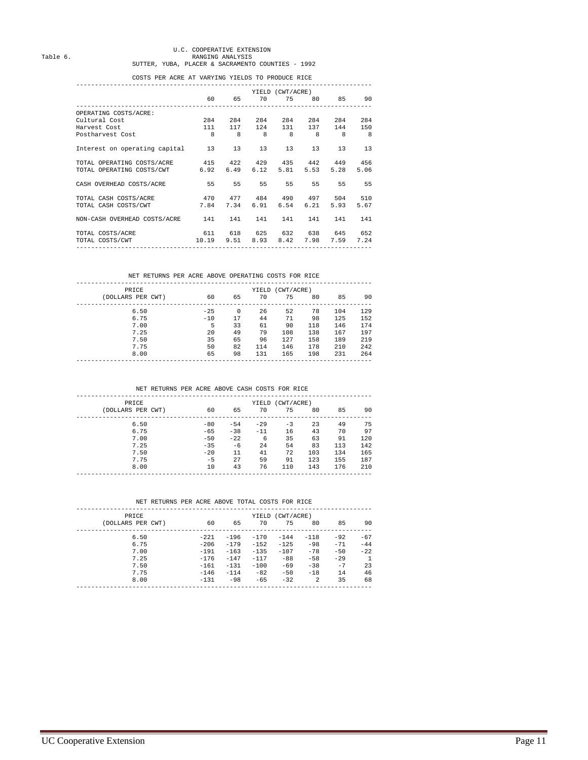# U.C. COOPERATIVE EXTENSION Table 6. RANGING ANALYSIS SUTTER, YUBA, PLACER & SACRAMENTO COUNTIES - 1992

#### COSTS PER ACRE AT VARYING YIELDS TO PRODUCE RICE

|                                                        |             |         |                                  | YIELD (CWT/ACRE) |             |           |            |
|--------------------------------------------------------|-------------|---------|----------------------------------|------------------|-------------|-----------|------------|
|                                                        |             |         | 60   65   70   75   80   85   90 |                  |             |           |            |
|                                                        |             |         |                                  |                  |             |           |            |
| OPERATING COSTS/ACRE:                                  |             |         |                                  |                  |             |           |            |
| Cultural Cost                                          |             | 284 284 | 284                              | 284              | 284         | 284       | 284        |
| Harvest Cost                                           |             |         | 111 117 124                      |                  | 131 137 144 |           | 150        |
| Postharvest Cost                                       | 8 8 8 8 8 8 |         |                                  |                  |             |           | $_{\rm 8}$ |
|                                                        |             |         |                                  |                  |             |           |            |
| Interest on operating capital 13                       |             |         | 13 13                            | 13               | 13          | 13        | 13         |
|                                                        |             |         |                                  |                  |             |           |            |
| TOTAL OPERATING COSTS/ACRE 415 422 429 435 442 449 456 |             |         |                                  |                  |             |           |            |
| TOTAL OPERATING COSTS/CWT 6.92 6.49 6.12 5.81          |             |         |                                  |                  | 5.53        | 5.28      | 5.06       |
|                                                        |             |         |                                  |                  |             |           |            |
| CASH OVERHEAD COSTS/ACRE 55                            |             |         | 55 55 55 55                      |                  |             | 55 - 55   | 55         |
|                                                        |             |         |                                  |                  |             |           |            |
| 470 477 484 490 497 504 510<br>TOTAL CASH COSTS/ACRE   |             |         |                                  |                  |             |           |            |
| TOTAL CASH COSTS/CWT                                   | 7.84        |         | 7.34 6.91 6.54                   |                  | 6.21        | 5.93      | 5.67       |
|                                                        |             |         |                                  |                  |             |           |            |
| NON-CASH OVERHEAD COSTS/ACRE 141 141                   |             |         | 141                              | 141              | 141         | 141       | 141        |
|                                                        |             |         |                                  |                  |             |           |            |
| 611 618 625 632 638 645 652<br>TOTAL COSTS/ACRE        |             |         |                                  |                  |             |           |            |
| TOTAL COSTS/CWT                                        |             |         | 10.19 9.51 8.93 8.42 7.98        |                  |             | 7.59 7.24 |            |
|                                                        |             |         |                                  |                  |             |           |            |
|                                                        |             |         |                                  |                  |             |           |            |

#### NET RETURNS PER ACRE ABOVE OPERATING COSTS FOR RICE

| PRICE<br>(DOLLARS PER CWT) | 60    | 65 | 70  | YIELD (CWT/ACRE)<br>75 | 80  | 85  | 90  |
|----------------------------|-------|----|-----|------------------------|-----|-----|-----|
|                            |       |    |     |                        |     |     |     |
| 6.50                       | $-25$ | 0  | 26  | 52                     | 78  | 104 | 129 |
| 6.75                       | $-10$ | 17 | 44  | 71                     | 98  | 125 | 152 |
| 7.00                       | 5     | 33 | 61  | 90                     | 118 | 146 | 174 |
| 7.25                       | 20    | 49 | 79  | 108                    | 138 | 167 | 197 |
| 7.50                       | 35    | 65 | 96  | 127                    | 158 | 189 | 219 |
| 7.75                       | 50    | 82 | 114 | 146                    | 178 | 210 | 242 |
| 8.00                       | 65    | 98 | 131 | 165                    | 198 | 231 | 264 |
|                            |       |    |     |                        |     |     |     |

#### NET RETURNS PER ACRE ABOVE CASH COSTS FOR RICE

| PRICE             |       | YIELD (CWT/ACRE) |        |      |     |     |     |  |  |
|-------------------|-------|------------------|--------|------|-----|-----|-----|--|--|
| (DOLLARS PER CWT) | 60    | 65               | 70     | 75   | 80  | 85  | 90  |  |  |
| 6.50              | $-80$ | $-54$            | $-2.9$ | $-3$ | 23  | 49  | 75  |  |  |
| 6.75              | $-65$ | $-38$            | $-11$  | 16   | 43  | 70  | 97  |  |  |
| 7.00              | $-50$ | $-22.2$          | 6      | 35   | 63  | 91  | 120 |  |  |
| 7.25              | $-35$ | $-6$             | 24     | 54   | 83  | 113 | 142 |  |  |
| 7.50              | $-20$ | 11               | 41     | 72   | 103 | 134 | 165 |  |  |
| 7.75              | $-5$  | 2.7              | 59     | 91   | 123 | 155 | 187 |  |  |
| 8.00              | 10    | 43               | 76     | 110  | 143 | 176 | 210 |  |  |
|                   |       |                  |        |      |     |     |     |  |  |

#### NET RETURNS PER ACRE ABOVE TOTAL COSTS FOR RICE

| <b>PRTCE</b>      | YIELD (CWT/ACRE)<br>70<br>75 |        |         |        |        |       |       |
|-------------------|------------------------------|--------|---------|--------|--------|-------|-------|
| (DOLLARS PER CWT) | 60                           | 65     |         |        | 80     | 85    | 90    |
| 6.50              | $-221$                       | $-196$ | $-170$  | $-144$ | $-118$ | $-92$ | $-67$ |
| 6.75              | $-206$                       | $-179$ | $-152$  | $-125$ | $-98$  | $-71$ | $-44$ |
| 7.00              | $-191$                       | $-163$ | $-1.35$ | $-107$ | $-78$  | $-50$ | $-22$ |
| 7.25              | $-176$                       | $-147$ | $-117$  | $-88$  | $-58$  | $-29$ |       |
| 7.50              | $-161$                       | $-131$ | $-100$  | $-69$  | $-38$  | $-7$  | 23    |
| 7.75              | $-146$                       | $-114$ | $-82$   | $-50$  | $-18$  | 14    | 46    |
| 8.00              | $-131$                       | $-98$  | $-65$   | $-32.$ | 2      | 35    | 68    |
|                   |                              |        |         |        |        |       |       |